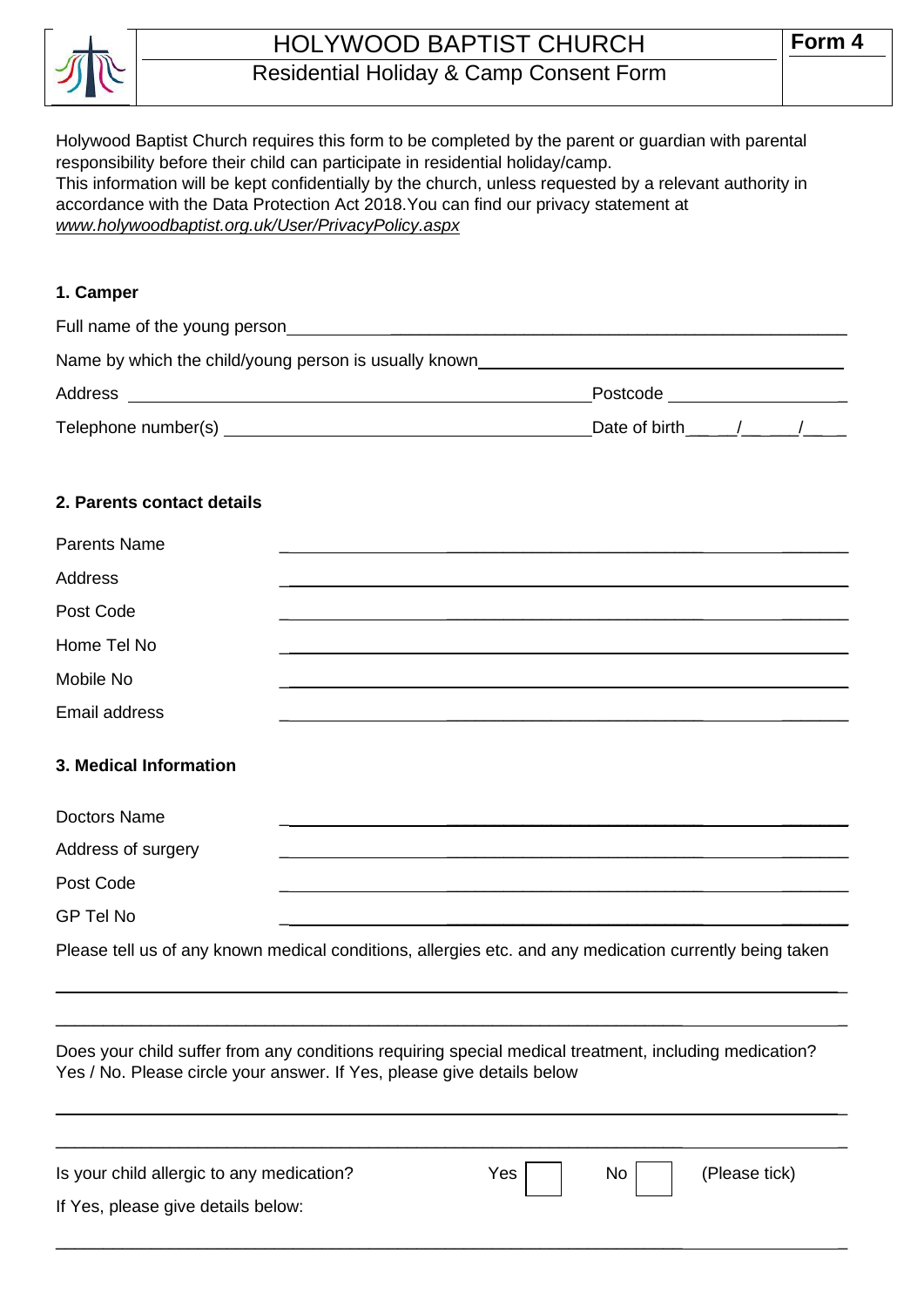

# HOLYWOOD BAPTIST CHURCH Residential Holiday & Camp Consent Form

Holywood Baptist Church requires this form to be completed by the parent or guardian with parental responsibility before their child can participate in residential holiday/camp. This information will be kept confidentially by the church, unless requested by a relevant authority in accordance with the Data Protection Act 2018.You can find our privacy statement at *www.holywoodbaptist.org.uk/User/PrivacyPolicy.aspx*

#### **1. Camper**

| Full name of the young person                         |                        |  |
|-------------------------------------------------------|------------------------|--|
| Name by which the child/young person is usually known |                        |  |
| Address                                               | Postcode               |  |
| Telephone number(s)                                   | Date of birth $\equiv$ |  |

### **2. Parents contact details**

| <b>Parents Name</b>                                                                                     |  |  |
|---------------------------------------------------------------------------------------------------------|--|--|
| Address                                                                                                 |  |  |
| Post Code                                                                                               |  |  |
| Home Tel No                                                                                             |  |  |
| Mobile No                                                                                               |  |  |
| Email address                                                                                           |  |  |
| 3. Medical Information                                                                                  |  |  |
| Doctors Name                                                                                            |  |  |
| Address of surgery                                                                                      |  |  |
| Post Code                                                                                               |  |  |
| GP Tel No                                                                                               |  |  |
| Please tell us of any known medical conditions, allergies etc. and any medication currently being taken |  |  |

Does your child suffer from any conditions requiring special medical treatment, including medication? Yes / No. Please circle your answer. If Yes, please give details below

 $\_$  , and the set of the set of the set of the set of the set of the set of the set of the set of the set of the set of the set of the set of the set of the set of the set of the set of the set of the set of the set of th

 $\_$  , and the set of the set of the set of the set of the set of the set of the set of the set of the set of the set of the set of the set of the set of the set of the set of the set of the set of the set of the set of th

| Is your child allergic to any medication? | Yes | $\overline{N}$ o | (Please tick) |
|-------------------------------------------|-----|------------------|---------------|
| If Yes, please give details below:        |     |                  |               |

 $\_$  , and the set of the set of the set of the set of the set of the set of the set of the set of the set of the set of the set of the set of the set of the set of the set of the set of the set of the set of the set of th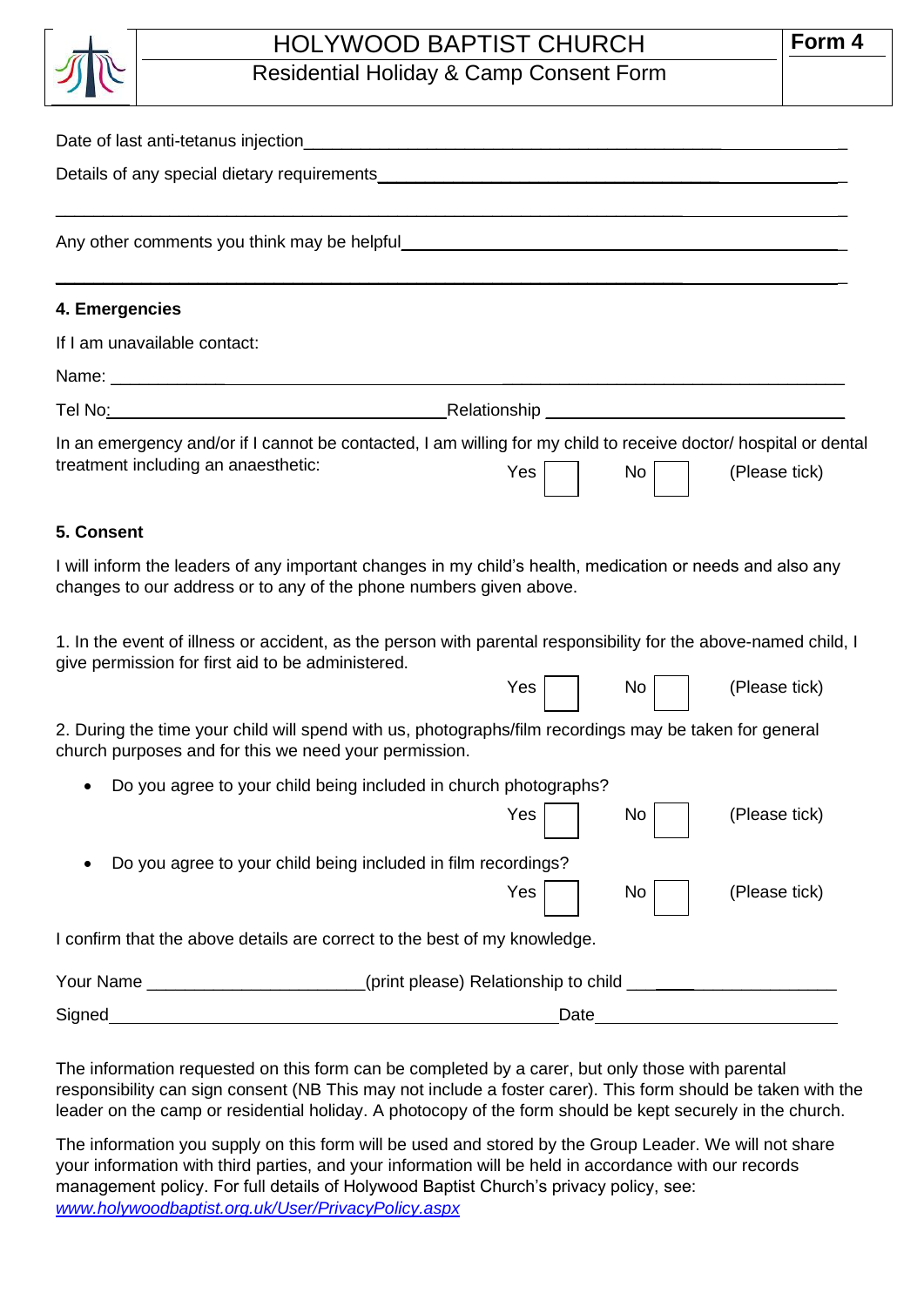

# HOLYWOOD BAPTIST CHURCH

 $\overline{N_0}$  (Please tick)

| Date of last anti-tetanus injection                                                                                                                                                                                            |                                                                                                                                                       |
|--------------------------------------------------------------------------------------------------------------------------------------------------------------------------------------------------------------------------------|-------------------------------------------------------------------------------------------------------------------------------------------------------|
| Details of any special dietary requirements example and any special distance of the state of the state of the state of the state of the state of the state of the state of the state of the state of the state of the state of |                                                                                                                                                       |
| Any other comments you think may be helpful                                                                                                                                                                                    |                                                                                                                                                       |
| 4. Emergencies                                                                                                                                                                                                                 |                                                                                                                                                       |
| If I am unavailable contact:                                                                                                                                                                                                   |                                                                                                                                                       |
|                                                                                                                                                                                                                                |                                                                                                                                                       |
|                                                                                                                                                                                                                                |                                                                                                                                                       |
| treatment including an anaesthetic:                                                                                                                                                                                            | In an emergency and/or if I cannot be contacted, I am willing for my child to receive doctor/ hospital or dental<br>Yes<br><b>No</b><br>(Please tick) |
| 5. Consent                                                                                                                                                                                                                     |                                                                                                                                                       |
| changes to our address or to any of the phone numbers given above.                                                                                                                                                             | I will inform the leaders of any important changes in my child's health, medication or needs and also any                                             |
| give permission for first aid to be administered.                                                                                                                                                                              | 1. In the event of illness or accident, as the person with parental responsibility for the above-named child, I                                       |
|                                                                                                                                                                                                                                | Yes<br>(Please tick)<br>No <sub>1</sub>                                                                                                               |
| church purposes and for this we need your permission.                                                                                                                                                                          | 2. During the time your child will spend with us, photographs/film recordings may be taken for general                                                |
| Do you agree to your child being included in church photographs?                                                                                                                                                               | Yes<br>(Please tick)<br>No                                                                                                                            |
| Do you agree to your child being included in film recordings?                                                                                                                                                                  |                                                                                                                                                       |

| $\sim$ $\sim$ |  |
|---------------|--|
|               |  |

I confirm that the above details are correct to the best of my knowledge.

| Your Name | (print please) Relationship to child |
|-----------|--------------------------------------|
| Signed    | Date                                 |

The information requested on this form can be completed by a carer, but only those with parental responsibility can sign consent (NB This may not include a foster carer). This form should be taken with the leader on the camp or residential holiday. A photocopy of the form should be kept securely in the church.

The information you supply on this form will be used and stored by the Group Leader. We will not share your information with third parties, and your information will be held in accordance with our records management policy. For full details of Holywood Baptist Church's privacy policy, see: *[www.holywoodbaptist.org.uk/User/PrivacyPolicy.aspx](http://www.holywoodbaptist.org.uk/User/PrivacyPolicy.aspx)*